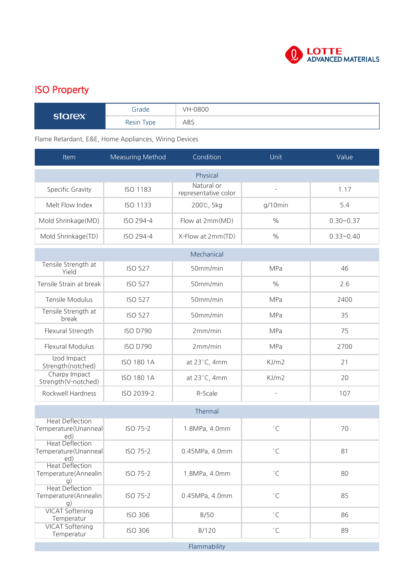

## ISO Property

| <b>COLORY</b> | Grade      | VH-0800 |
|---------------|------------|---------|
|               | Resin Type | ABS     |

## Flame Retardant, E&E, Home Appliances, Wiring Devices

| <b>Item</b>                                           | <b>Measuring Method</b> | Condition                          | Unit               | Value         |  |  |  |
|-------------------------------------------------------|-------------------------|------------------------------------|--------------------|---------------|--|--|--|
| Physical                                              |                         |                                    |                    |               |  |  |  |
| Specific Gravity                                      | <b>ISO 1183</b>         | Natural or<br>representative color | ÷,                 | 1.17          |  |  |  |
| Melt Flow Index                                       | <b>ISO 1133</b>         | 200℃, 5kg                          | $g/10$ min         | 5.4           |  |  |  |
| Mold Shrinkage(MD)                                    | ISO 294-4               | Flow at 2mm(MD)                    | $\%$               | $0.30 - 0.37$ |  |  |  |
| Mold Shrinkage(TD)                                    | ISO 294-4               | X-Flow at 2mm(TD)                  | $\frac{0}{0}$      | $0.33 - 0.40$ |  |  |  |
|                                                       |                         | Mechanical                         |                    |               |  |  |  |
| Tensile Strength at<br>Yield                          | <b>ISO 527</b>          | 50mm/min                           | MPa                | 46            |  |  |  |
| Tensile Strain at break                               | <b>ISO 527</b>          | 50mm/min                           | $\frac{0}{0}$      | 2.6           |  |  |  |
| Tensile Modulus                                       | <b>ISO 527</b>          | 50mm/min                           | MPa                | 2400          |  |  |  |
| Tensile Strength at<br>break                          | <b>ISO 527</b>          | 50mm/min                           | MPa                | 35            |  |  |  |
| Flexural Strength                                     | <b>ISO D790</b>         | 2mm/min                            | MPa                | 75            |  |  |  |
| <b>Flexural Modulus</b>                               | <b>ISO D790</b>         | 2mm/min                            | MPa                | 2700          |  |  |  |
| Izod Impact<br>Strength(notched)                      | <b>ISO 180 1A</b>       | at 23°C, 4mm                       | KJ/m2              | 21            |  |  |  |
| Charpy Impact<br>Strength(V-notched)                  | <b>ISO 180 1A</b>       | at 23°C, 4mm                       | KJ/m2              | 20            |  |  |  |
| Rockwell Hardness                                     | ISO 2039-2              | R-Scale                            |                    | 107           |  |  |  |
|                                                       |                         | Thermal                            |                    |               |  |  |  |
| <b>Heat Deflection</b><br>Temperature(Unanneal<br>ed) | ISO 75-2                | 1.8MPa, 4.0mm                      | $^{\circ}$ C       | 70            |  |  |  |
| <b>Heat Deflection</b><br>Temperature(Unanneal<br>ed) | ISO 75-2                | 0.45MPa, 4.0mm                     | $^{\circ}$ C       | 81            |  |  |  |
| <b>Heat Deflection</b><br>Temperature(Annealin<br>g)  | ISO 75-2                | 1.8MPa, 4.0mm                      | $^{\circ}$ C       | 80            |  |  |  |
| <b>Heat Deflection</b><br>Temperature(Annealin<br>g)  | ISO 75-2                | 0.45MPa, 4.0mm                     | $^{\circ}$ C       | 85            |  |  |  |
| <b>VICAT Softening</b><br>Temperatur                  | <b>ISO 306</b>          | B/50                               | $^\circ\mathsf{C}$ | 86            |  |  |  |
| <b>VICAT Softening</b><br>Temperatur                  | <b>ISO 306</b>          | B/120                              | $^\circ\mathsf{C}$ | 89            |  |  |  |
|                                                       |                         | Flammability                       |                    |               |  |  |  |